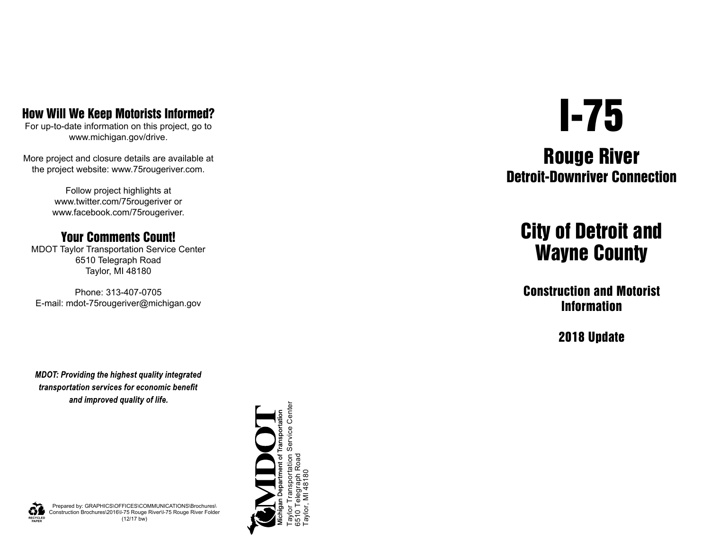### How Will We Keep Motorists Informed?

For up-to-date information on this project, go to www.michigan.gov/drive.

More project and closure details are available at the project website: www.75rougeriver.com.

> Follow project highlights at www.twitter.com/75rougeriver or www.facebook.com/75rougeriver.

#### Your Comments Count!

MDOT Taylor Transportation Service Center 6510 Telegraph Road Taylor, MI 48180

Phone: 313-407-0705 E-mail: mdot-75rougeriver@michigan.gov

**MDOT: Providing the highest quality integrated** transportation services for economic benefit and improved quality of life.



# I-75

## Rouge River Detroit-Downriver Connection

## City of Detroit and Wayne County

Construction and Motorist Information

2018 Update



Prepared by: GRAPHICS\OFFICES\COMMUNICATIONS\Brochures\ Construction Brochures\2016\I-75 Rouge River\I-75 Rouge River Folder (12/17 bw)